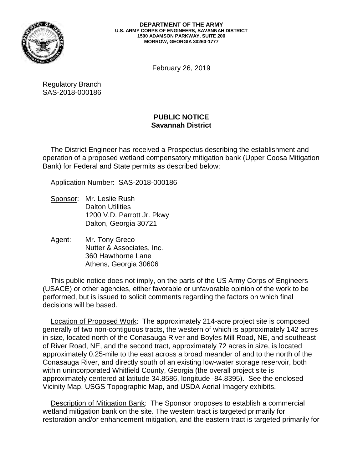

 **DEPARTMENT OF THE ARMY U.S. ARMY CORPS OF ENGINEERS, SAVANNAH DISTRICT 1590 ADAMSON PARKWAY, SUITE 200 MORROW, GEORGIA 30260-1777**

February 26, 2019

Regulatory Branch SAS-2018-000186

## **PUBLIC NOTICE Savannah District**

 operation of a proposed wetland compensatory mitigation bank (Upper Coosa Mitigation The District Engineer has received a Prospectus describing the establishment and Bank) for Federal and State permits as described below:

Application Number: SAS-2018-000186

- Sponsor: Mr. Leslie Rush Dalton Utilities 1200 V.D. Parrott Jr. Pkwy Dalton, Georgia 30721
- Agent: Mr. Tony Greco Nutter & Associates, Inc. 360 Hawthorne Lane Athens, Georgia 30606

This public notice does not imply, on the parts of the US Army Corps of Engineers (USACE) or other agencies, either favorable or unfavorable opinion of the work to be performed, but is issued to solicit comments regarding the factors on which final decisions will be based.

 generally of two non-contiguous tracts, the western of which is approximately 142 acres within unincorporated Whitfield County, Georgia (the overall project site is approximately centered at latitude 34.8586, longitude -84.8395). See the enclosed Vicinity Map, USGS Topographic Map, and USDA Aerial Imagery exhibits. Location of Proposed Work: The approximately 214-acre project site is composed in size, located north of the Conasauga River and Boyles Mill Road, NE, and southeast of River Road, NE, and the second tract, approximately 72 acres in size, is located approximately 0.25-mile to the east across a broad meander of and to the north of the Conasauga River, and directly south of an existing low-water storage reservoir, both

Description of Mitigation Bank: The Sponsor proposes to establish a commercial wetland mitigation bank on the site. The western tract is targeted primarily for restoration and/or enhancement mitigation, and the eastern tract is targeted primarily for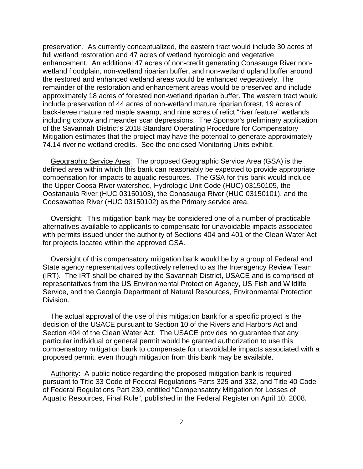preservation. As currently conceptualized, the eastern tract would include 30 acres of include preservation of 44 acres of non-wetland mature riparian forest, 19 acres of back-levee mature red maple swamp, and nine acres of relict "river feature" wetlands including oxbow and meander scar depressions. The Sponsor's preliminary application 74.14 riverine wetland credits. See the enclosed Monitoring Units exhibit. full wetland restoration and 47 acres of wetland hydrologic and vegetative enhancement. An additional 47 acres of non-credit generating Conasauga River nonwetland floodplain, non-wetland riparian buffer, and non-wetland upland buffer around the restored and enhanced wetland areas would be enhanced vegetatively. The remainder of the restoration and enhancement areas would be preserved and include approximately 18 acres of forested non-wetland riparian buffer. The western tract would of the Savannah District's 2018 Standard Operating Procedure for Compensatory Mitigation estimates that the project may have the potential to generate approximately

 compensation for impacts to aquatic resources. The GSA for this bank would include Oostanaula River (HUC 03150103), the Conasauga River (HUC 03150101), and the Geographic Service Area: The proposed Geographic Service Area (GSA) is the defined area within which this bank can reasonably be expected to provide appropriate the Upper Coosa River watershed, Hydrologic Unit Code (HUC) 03150105, the Coosawattee River (HUC 03150102) as the Primary service area.

 with permits issued under the authority of Sections 404 and 401 of the Clean Water Act for projects located within the approved GSA. Oversight: This mitigation bank may be considered one of a number of practicable alternatives available to applicants to compensate for unavoidable impacts associated

 (IRT). The IRT shall be chaired by the Savannah District, USACE and is comprised of Oversight of this compensatory mitigation bank would be by a group of Federal and State agency representatives collectively referred to as the Interagency Review Team representatives from the US Environmental Protection Agency, US Fish and Wildlife Service, and the Georgia Department of Natural Resources, Environmental Protection Division.

 Section 404 of the Clean Water Act. The USACE provides no guarantee that any proposed permit, even though mitigation from this bank may be available. The actual approval of the use of this mitigation bank for a specific project is the decision of the USACE pursuant to Section 10 of the Rivers and Harbors Act and particular individual or general permit would be granted authorization to use this compensatory mitigation bank to compensate for unavoidable impacts associated with a

Authority: A public notice regarding the proposed mitigation bank is required pursuant to Title 33 Code of Federal Regulations Parts 325 and 332, and Title 40 Code of Federal Regulations Part 230, entitled "Compensatory Mitigation for Losses of Aquatic Resources, Final Rule", published in the Federal Register on April 10, 2008.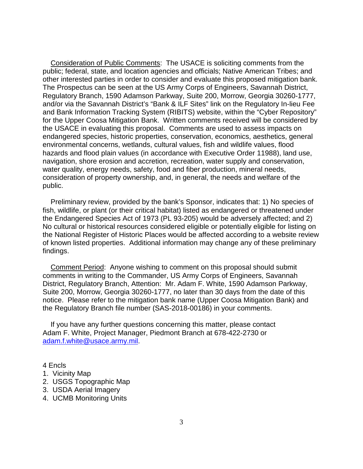other interested parties in order to consider and evaluate this proposed mitigation bank. for the Upper Coosa Mitigation Bank. Written comments received will be considered by environmental concerns, wetlands, cultural values, fish and wildlife values, flood Consideration of Public Comments: The USACE is soliciting comments from the public; federal, state, and location agencies and officials; Native American Tribes; and The Prospectus can be seen at the US Army Corps of Engineers, Savannah District, Regulatory Branch, 1590 Adamson Parkway, Suite 200, Morrow, Georgia 30260-1777, and/or via the Savannah District's "Bank & ILF Sites" link on the Regulatory In-lieu Fee and Bank Information Tracking System (RIBITS) website, within the "Cyber Repository" the USACE in evaluating this proposal. Comments are used to assess impacts on endangered species, historic properties, conservation, economics, aesthetics, general hazards and flood plain values (in accordance with Executive Order 11988), land use, navigation, shore erosion and accretion, recreation, water supply and conservation, water quality, energy needs, safety, food and fiber production, mineral needs, consideration of property ownership, and, in general, the needs and welfare of the public.

Preliminary review, provided by the bank's Sponsor, indicates that: 1) No species of fish, wildlife, or plant (or their critical habitat) listed as endangered or threatened under the Endangered Species Act of 1973 (PL 93-205) would be adversely affected; and 2) No cultural or historical resources considered eligible or potentially eligible for listing on the National Register of Historic Places would be affected according to a website review of known listed properties. Additional information may change any of these preliminary findings.

Comment Period: Anyone wishing to comment on this proposal should submit comments in writing to the Commander, US Army Corps of Engineers, Savannah District, Regulatory Branch, Attention: Mr. Adam F. White, 1590 Adamson Parkway, Suite 200, Morrow, Georgia 30260-1777, no later than 30 days from the date of this notice. Please refer to the mitigation bank name (Upper Coosa Mitigation Bank) and the Regulatory Branch file number (SAS-2018-00186) in your comments.

 Adam F. White, Project Manager, Piedmont Branch at 678-422-2730 or <u>adam.f.white@usace.army.mil</u>.<br>4 Encls If you have any further questions concerning this matter, please contact

4 Encls

- 1. Vicinity Map
- 2. USGS Topographic Map
- 3. USDA Aerial Imagery
- 4. UCMB Monitoring Units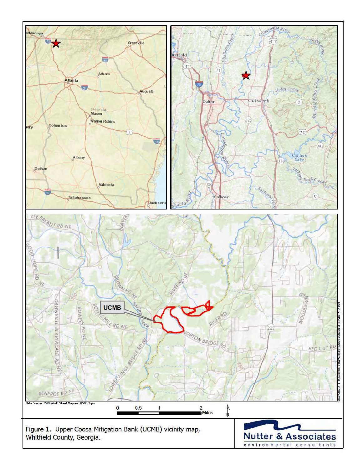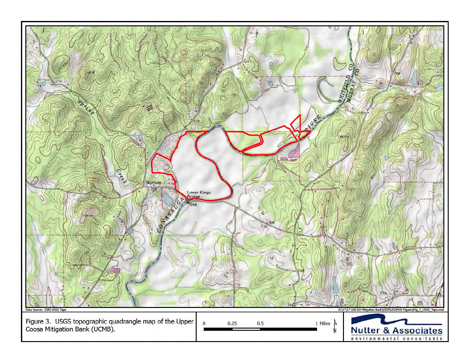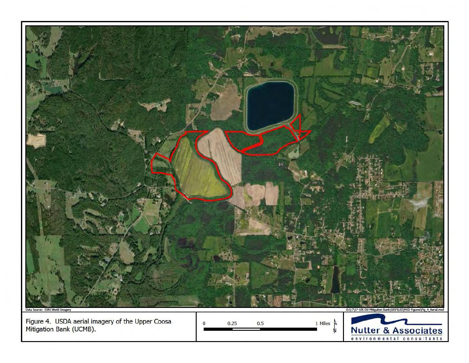